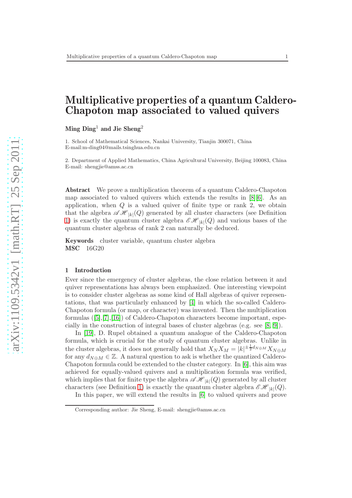# Multiplicative properties of a quantum Caldero-Chapoton map associated to valued quivers

Ming  $\text{Ding}^1$  and Jie Sheng<sup>2</sup>

1. School of Mathematical Sciences, Nankai University, Tianjin 300071, China E-mail:m-ding04@mails.tsinghua.edu.cn

2. Department of Applied Mathematics, China Agricultural University, Beijing 100083, China E-mail: shengjie@amss.ac.cn

Abstract We prove a multiplication theorem of a quantum Caldero-Chapoton map associated to valued quivers which extends the results in [\[8\]](#page-10-0)[\[6\]](#page-10-1). As an application, when  $Q$  is a valued quiver of finite type or rank 2, we obtain that the algebra  $\mathscr{AH}_{|k|}(Q)$  generated by all cluster characters (see Definition [1\)](#page-4-0) is exactly the quantum cluster algebra  $\mathscr{E}\mathscr{H}_{|k|}(Q)$  and various bases of the quantum cluster algebras of rank 2 can naturally be deduced.

Keywords cluster variable, quantum cluster algebra MSC 16G20

#### 1 Introduction

Ever since the emergency of cluster algebras, the close relation between it and quiver representations has always been emphasized. One interesting viewpoint is to consider cluster algebras as some kind of Hall algebras of quiver representations, that was particularly enhanced by [\[4\]](#page-10-2) in which the so-called Caldero-Chapoton formula (or map, or character) was invented. Then the multiplication formulas ([\[5\]](#page-10-3),[\[7\]](#page-10-4),[\[16\]](#page-11-0)) of Caldero-Chapoton characters become important, especially in the construction of integral bases of cluster algebras (e.g. see [\[8,](#page-10-0) [9\]](#page-10-5)).

In [\[19\]](#page-11-1), D. Rupel obtained a quantum analogue of the Caldero-Chapoton formula, which is crucial for the study of quantum cluster algebras. Unlike in the cluster algebras, it does not generally hold that  $X_N X_M = |k|^{\pm \frac{1}{2}d_{N \oplus M}} X_{N \oplus M}$ for any  $d_{N\oplus M} \in \mathbb{Z}$ . A natural question to ask is whether the quantized Caldero-Chapoton formula could be extended to the cluster category. In [\[6\]](#page-10-1), this aim was achieved for equally-valued quivers and a multiplication formula was verified, which implies that for finite type the algebra  $\mathscr{AH}_{|k|}(Q)$  generated by all cluster characters (see Definition [1\)](#page-4-0) is exactly the quantum cluster algebra  $\mathscr{CH}_{|k|}(Q)$ .

In this paper, we will extend the results in [\[6\]](#page-10-1) to valued quivers and prove

Corresponding author: Jie Sheng, E-mail: shengjie@amss.ac.cn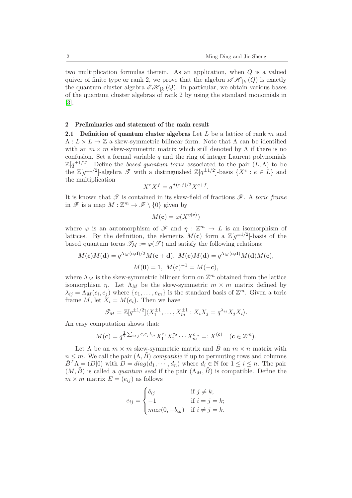two multiplication formulas therein. As an application, when Q is a valued quiver of finite type or rank 2, we prove that the algebra  $\mathscr{AH}_{|k|}(Q)$  is exactly the quantum cluster algebra  $\mathscr{CH}_{|k|}(Q)$ . In particular, we obtain various bases of the quantum cluster algebras of rank 2 by using the standard monomials in [\[3\]](#page-10-6).

## 2 Preliminaries and statement of the main result

2.1 Definition of quantum cluster algebras Let  $L$  be a lattice of rank  $m$  and  $\Lambda: L \times L \to \mathbb{Z}$  a skew-symmetric bilinear form. Note that  $\Lambda$  can be identified with an  $m \times m$  skew-symmetric matrix which still denoted by  $\Lambda$  if there is no confusion. Set a formal variable  $q$  and the ring of integer Laurent polynomials  $\mathbb{Z}[q^{\pm 1/2}]$ . Define the based quantum torus associated to the pair  $(L, \Lambda)$  to be the  $\mathbb{Z}[q^{\pm 1/2}]$ -algebra  $\mathscr{T}$  with a distinguished  $\mathbb{Z}[q^{\pm 1/2}]$ -basis  $\{X^e : e \in L\}$  and the multiplication

$$
X^{e}X^{f} = q^{\Lambda(e,f)/2}X^{e+f}.
$$

It is known that  $\mathscr T$  is contained in its skew-field of fractions  $\mathscr F$ . A toric frame in  $\mathscr{F}$  is a map  $M : \mathbb{Z}^m \to \mathscr{F} \setminus \{0\}$  given by

$$
M(\mathbf{c}) = \varphi(X^{\eta(\mathbf{c})})
$$

where  $\varphi$  is an automorphism of  $\mathscr F$  and  $\eta : \mathbb{Z}^m \to L$  is an isomorphism of lattices. By the definition, the elements  $M(c)$  form a  $\mathbb{Z}[q^{\pm 1/2}]$ -basis of the based quantum torus  $\mathscr{T}_M := \varphi(\mathscr{T})$  and satisfy the following relations:

$$
M(\mathbf{c})M(\mathbf{d}) = q^{\Lambda_M(\mathbf{c},\mathbf{d})/2}M(\mathbf{c}+\mathbf{d}), \ M(\mathbf{c})M(\mathbf{d}) = q^{\Lambda_M(\mathbf{c},\mathbf{d})}M(\mathbf{d})M(\mathbf{c}),
$$

$$
M(\mathbf{0}) = 1, \ M(\mathbf{c})^{-1} = M(-\mathbf{c}),
$$

where  $\Lambda_M$  is the skew-symmetric bilinear form on  $\mathbb{Z}^m$  obtained from the lattice isomorphism  $\eta$ . Let  $\Lambda_M$  be the skew-symmetric  $m \times m$  matrix defined by  $\lambda_{ij} = \Lambda_M(e_i, e_j)$  where  $\{e_1, \ldots, e_m\}$  is the standard basis of  $\mathbb{Z}^m$ . Given a toric frame M, let  $X_i = M(e_i)$ . Then we have

$$
\mathscr{T}_M=\mathbb{Z}[q^{\pm 1/2}]\langle X_1^{\pm 1},\ldots,X_m^{\pm 1}:X_iX_j=q^{\lambda_{ij}}X_jX_i\rangle.
$$

An easy computation shows that:

$$
M(\mathbf{c}) = q^{\frac{1}{2} \sum_{i < j} c_i c_j \lambda_{ji}} X_1^{c_1} X_2^{c_2} \cdots X_m^{c_m} =: X^{(\mathbf{c})} \quad (\mathbf{c} \in \mathbb{Z}^m).
$$

Let  $\Lambda$  be an  $m \times m$  skew-symmetric matrix and  $\tilde{B}$  an  $m \times n$  matrix with  $n \leq m$ . We call the pair  $(\Lambda, \tilde{B})$  compatible if up to permuting rows and columns  $\tilde{B}^T \Lambda = (D|0)$  with  $D = diag(d_1, \dots, d_n)$  where  $d_i \in \mathbb{N}$  for  $1 \leq i \leq n$ . The pair  $(M, \tilde{B})$  is called a quantum seed if the pair  $(\Lambda_M, \tilde{B})$  is compatible. Define the  $m \times m$  matrix  $E = (e_{ij})$  as follows

$$
e_{ij} = \begin{cases} \delta_{ij} & \text{if } j \neq k; \\ -1 & \text{if } i = j = k; \\ max(0, -b_{ik}) & \text{if } i \neq j = k. \end{cases}
$$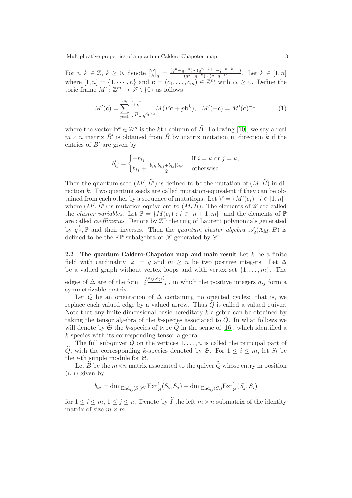For  $n, k \in \mathbb{Z}, k \geq 0$ , denote  $\begin{bmatrix} n \\ k \end{bmatrix}$  $\binom{n}{k}_q = \frac{(q^n - q^{-n}) \cdots (q^{n-k+1} - q^{-n+k-1})}{(q^k - q^{-k}) \cdots (q - q^{-1})}$  $\frac{(q^k-q^{-k})\cdots(q^q-1)}{(q^k-q^{-k})\cdots(q-q^{-1})}$ . Let  $k \in [1,n]$ where  $[1, n] = \{1, \dots, n\}$  and  $\mathbf{c} = (c_1, \dots, c_m) \in \mathbb{Z}^m$  with  $c_k \geq 0$ . Define the toric frame  $M': \mathbb{Z}^m \to \tilde{\mathscr{F}} \setminus \{0\}$  as follows

$$
M'(\mathbf{c}) = \sum_{p=0}^{c_k} \begin{bmatrix} c_k \\ p \end{bmatrix}_{q^{d_k/2}} M(E\mathbf{c} + p\mathbf{b}^k), \quad M'(-\mathbf{c}) = M'(\mathbf{c})^{-1}.
$$
 (1)

where the vector  $\mathbf{b}^k \in \mathbb{Z}^m$  is the kth column of  $\tilde{B}$ . Following [\[10\]](#page-10-7), we say a real  $m \times n$  matrix  $\tilde{B}'$  is obtained from  $\tilde{B}$  by matrix mutation in direction k if the entries of  $\tilde{B}'$  are given by

$$
b'_{ij} = \begin{cases} -b_{ij} & \text{if } i = k \text{ or } j = k; \\ b_{ij} + \frac{|b_{ik}|b_{kj} + b_{ik}|b_{kj}|}{2} & \text{otherwise.} \end{cases}
$$

Then the quantum seed  $(M',\tilde{B}')$  is defined to be the mutation of  $(M,\tilde{B})$  in direction k. Two quantum seeds are called mutation-equivalent if they can be obtained from each other by a sequence of mutations. Let  $\mathscr{C} = \{M'(e_i) : i \in [1, n]\}$ where  $(M',\tilde{B}')$  is mutation-equivalent to  $(M,\tilde{B})$ . The elements of  $\mathscr C$  are called the *cluster variables*. Let  $\mathbb{P} = \{M(e_i) : i \in [n+1,m]\}\$ and the elements of  $\mathbb{P}$ are called *coefficients*. Denote by  $\mathbb{Z} \mathbb{P}$  the ring of Laurent polynomials generated by  $q^{\frac{1}{2}}$ , P and their inverses. Then the quantum cluster algebra  $\mathscr{A}_q(\Lambda_M, \tilde{B})$  is defined to be the  $\mathbb{Z}$ P-subalgebra of  $\mathscr F$  generated by  $\mathscr C$ .

2.2 The quantum Caldero-Chapoton map and main result Let  $k$  be a finite field with cardinality  $|k| = q$  and  $m \geq n$  be two positive integers. Let  $\Delta$ be a valued graph without vertex loops and with vertex set  $\{1, \ldots, m\}$ . The edges of  $\Delta$  are of the form  $i^{(a_{ij}, a_{ji})}j$ , in which the positive integers  $a_{ij}$  form a symmetrizable matrix.

Let Q be an orientation of  $\Delta$  containing no oriented cycles: that is, we replace each valued edge by a valued arrow. Thus  $\tilde{Q}$  is called a valued quiver. Note that any finite dimensional basic hereditary  $k$ -algebra can be obtained by taking the tensor algebra of the k-species associated to  $Q$ . In what follows we will denote by  $\mathfrak S$  the k-species of type  $\tilde Q$  in the sense of [\[16\]](#page-11-0), which identified a k-species with its corresponding tensor algebra.

The full subquiver  $Q$  on the vertices  $1, \ldots, n$  is called the principal part of  $\widetilde{Q}$ , with the corresponding k-species denoted by  $\mathfrak{S}$ . For  $1 \leq i \leq m$ , let  $S_i$  be the *i*-th simple module for  $\mathfrak{S}$ .

Let B be the  $m \times n$  matrix associated to the quiver  $\widetilde{Q}$  whose entry in position  $(i, j)$  given by

$$
b_{ij} = \dim_{\text{End}_{\widetilde{\mathfrak{S}}}(S_i)^{op}} \text{Ext}^1_{\widetilde{\mathfrak{S}}}(S_i, S_j) - \dim_{\text{End}_{\widetilde{\mathfrak{S}}}(S_i)} \text{Ext}^1_{\widetilde{\mathfrak{S}}}(S_j, S_i)
$$

for  $1 \leq i \leq m, 1 \leq j \leq n$ . Denote by  $\widetilde{I}$  the left  $m \times n$  submatrix of the identity matrix of size  $m \times m$ .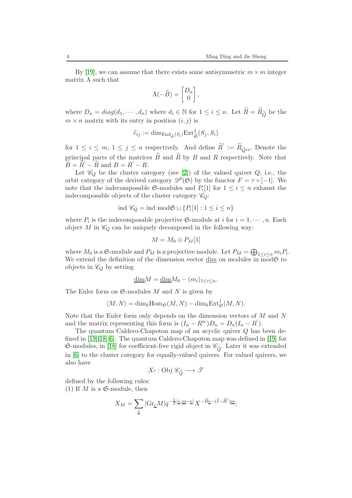By [\[19\]](#page-11-1), we can assume that there exists some antisymmetric  $m \times m$  integer matrix  $\Lambda$  such that

$$
\Lambda(-\widetilde{B}) = \begin{bmatrix} D_n \\ 0 \end{bmatrix},
$$

where  $D_n = diag(d_1, \dots, d_n)$  where  $d_i \in \mathbb{N}$  for  $1 \leq i \leq n$ . Let  $\widetilde{R} = \widetilde{R}_{\widetilde{Q}}$  be the  $m \times n$  matrix with its entry in position  $(i, j)$  is

$$
\widetilde{r}_{ij} := \dim_{\text{End}_{\widetilde{\mathfrak{S}}}}(S_i) \mathrm{Ext}^1_{\widetilde{\mathfrak{S}}}(S_j, S_i)
$$

for  $1 \leq i \leq m, 1 \leq j \leq n$  respectively. And define  $\widetilde{R}' := \widetilde{R}_{\widetilde{Q}^{op}}$ . Denote the principal parts of the matrices  $\tilde{B}$  and  $\tilde{R}$  by B and R respectively. Note that  $\widetilde{B} = \widetilde{R}' - \widetilde{R}$  and  $B = R' - R$ .

Let  $\mathscr{C}_Q$  be the cluster category (see [\[2\]](#page-10-8)) of the valued quiver  $Q$ , i.e., the orbit category of the derived category  $\mathscr{D}^b(\mathfrak{S})$  by the functor  $F = \tau \circ [-1]$ . We note that the indecomposable  $\mathfrak{S}$ -modules and  $P_i[1]$  for  $1 \leq i \leq n$  exhaust the indecomposable objects of the cluster category  $\mathscr{C}_Q$ :

$$
\text{ind }\mathscr{C}_Q = \text{ind }\text{mod}\mathfrak{S} \sqcup \{P_i[1]: 1 \le i \le n\}
$$

where  $P_i$  is the indecomposable projective  $\mathfrak{S}$ -module at *i* for  $i = 1, \dots, n$ . Each object M in  $\mathcal{C}_Q$  can be uniquely decomposed in the following way:

$$
M=M_0\oplus P_M[1]
$$

where  $M_0$  is a  $\mathfrak{S}$ -module and  $P_M$  is a projective module. Let  $P_M = \bigoplus_{1 \leq i \leq n} m_i P_i$ . We extend the definition of the dimension vector  $\underline{\dim}$  on modules in  $\overline{\mod} \mathfrak{S}$  to objects in  $\mathcal{C}_Q$  by setting

$$
\underline{\dim} M = \underline{\dim} M_0 - (m_i)_{1 \le i \le n}.
$$

The Euler form on  $\mathfrak{S}\text{-modules }M$  and N is given by

$$
\langle M, N \rangle = \dim_k \operatorname{Hom}_{\mathfrak{S}}(M, N) - \dim_k \operatorname{Ext}_{\mathfrak{S}}^1(M, N).
$$

Note that the Euler form only depends on the dimension vectors of  $M$  and  $N$ and the matrix representing this form is  $(I_n - R^{tr})D_n = D_n(I_n - R^{'})$ .

The quantum Caldero-Chapoton map of an acyclic quiver Q has been defined in [\[19\]](#page-11-1)[\[18\]](#page-11-2)[\[6\]](#page-10-1). The quantum Caldero-Chapoton map was defined in [\[19\]](#page-11-1) for  $\mathfrak{S}\text{-modules, in [18] for coefficient-free rigid object in } \mathscr{C}_{\tilde{O}}$  $\mathfrak{S}\text{-modules, in [18] for coefficient-free rigid object in } \mathscr{C}_{\tilde{O}}$  $\mathfrak{S}\text{-modules, in [18] for coefficient-free rigid object in } \mathscr{C}_{\tilde{O}}$ . Later it was extended in [\[6\]](#page-10-1) to the cluster category for equally-valued quivers. For valued quivers, we also have

$$
X_?:\mathrm{Obj}\; \mathscr{C}_{\widetilde{Q}} \longrightarrow \mathscr{T}
$$

defined by the following rules: (1) If M is a  $\mathfrak{S}\text{-module}$ , then

$$
X_M = \sum_{\underline{e}} |{\rm Gr}_{\underline{e}}M|q^{-\frac{1}{2}\langle \underline{e}, \underline{m}-\underline{e} \rangle} X^{-\widetilde{B}\underline{e} - (\widetilde{I} - \widetilde{R}')\underline{m}};
$$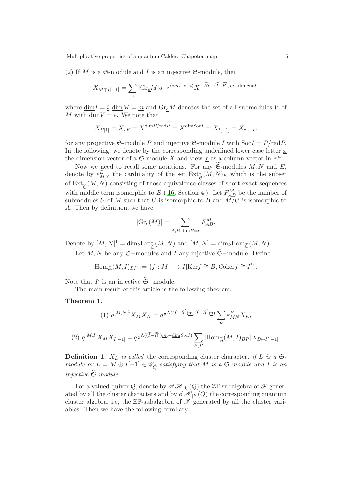(2) If M is a  $\mathfrak{S}\text{-module}$  and I is an injective  $\widetilde{\mathfrak{S}}\text{-module}$ , then

$$
X_{M \oplus I[-1]} = \sum_{\underline{e}} | \mathrm{Gr}_{\underline{e}} M | q^{-\frac{1}{2} \langle \underline{e}, \underline{m} - \underline{e} - \underline{i} \rangle} X^{- \widetilde{B} \underline{e} - (\widetilde{I} - \widetilde{R}') \underline{m} + \underline{\mathrm{dim}} \mathrm{Soc} I},
$$

where  $\underline{\dim}I = \underline{i}, \underline{\dim}M = \underline{m}$  and  $\text{Gr}_eM$  denotes the set of all submodules V of M with  $\dim V = e$ . We note that

$$
X_{P[1]} = X_{\tau P} = X^{\dim P/\text{rad}P} = X^{\dim \text{Soc}I} = X_{I[-1]} = X_{\tau^{-1}I}.
$$

for any projective  $\widetilde{\mathfrak{S}}$ -module P and injective  $\widetilde{\mathfrak{S}}$ -module I with  $SocI = P/radP$ . In the following, we denote by the corresponding underlined lower case letter  $x$ the dimension vector of a  $\mathfrak{S}\text{-module }X$  and view  $\underline{x}$  as a column vector in  $\mathbb{Z}^n$ .

Now we need to recall some notations. For any  $\mathfrak{S}\text{-modules }M,N$  and E, denote by  $\varepsilon_{MN}^E$  the cardinality of the set  $\text{Ext}^1_{\mathfrak{S}}(M,N)_E$  which is the subset of  $\text{Ext}_{\tilde{\mathfrak{S}}}^1(M,N)$  consisting of those equivalence classes of short exact sequences with middle term isomorphic to  $E([16, Section 4])$  $E([16, Section 4])$  $E([16, Section 4])$ . Let  $F_{AB}^M$  be the number of submodules U of M such that U is isomorphic to B and  $\widetilde{M/U}$  is isomorphic to A. Then by definition, we have

$$
|\mathrm{Gr}_{\underline{e}}(M)|=\sum_{A,B;\underline{\mathrm{dim}}B=\underline{e}}F_{AB}^M.
$$

Denote by  $[M, N]^1 = \dim_k \text{Ext}_{\widetilde{\mathfrak{S}}}^1(M, N)$  and  $[M, N] = \dim_k \text{Hom}_{\widetilde{\mathfrak{S}}}(M, N)$ .

Let M, N be any  $\mathfrak{S}-$ modules and I any injective  $\widetilde{\mathfrak{S}}-$ module. Define

$$
\operatorname{Hom}_{\widetilde{\mathfrak{S}}}(M,I)_{BI'}:=\{f:M\longrightarrow I|\mathrm{Ker}f\cong B, \operatorname{Coker}f\cong I'\}.
$$

Note that  $I'$  is an injective  $\widetilde{\mathfrak{S}}$ -module.

The main result of this article is the following theorem:

#### <span id="page-4-1"></span>Theorem 1.

(1) 
$$
q^{[M,N]^1} X_M X_N = q^{\frac{1}{2}\Lambda((\tilde{I} - \tilde{R}')_{\underline{m}}, (\tilde{I} - \tilde{R}')_{\underline{n}})} \sum_E \varepsilon^E_{MN} X_E,
$$
  
\n(2)  $q^{[M,I]} X_M X_{I[-1]} = q^{\frac{1}{2}\Lambda((\tilde{I} - \tilde{R}')_{\underline{m}}, -\underline{\dim} SocI)} \sum_{B,I'} |\text{Hom}_{\tilde{\mathfrak{S}}}(M, I)_{BI'}| X_{B \oplus I'[-1]}.$ 

<span id="page-4-0"></span>**Definition 1.**  $X_L$  is called the corresponding cluster character, if L is a  $\mathfrak{S}$ module or  $L = M \oplus I[-1] \in \mathscr{C}_{\widetilde{\Omega}}$  satisfying that M is a  $\mathfrak{S}\text{-module}$  and I is an injective  $\widetilde{\mathfrak{S}}$ -module.

For a valued quiver Q, denote by  $\mathscr{AH}_{|k|}(Q)$  the  $\mathbb{Z}\mathbb{P}$ -subalgebra of  $\mathscr{F}$  generated by all the cluster characters and by  $\mathscr{E}\mathscr{H}_{|k|}(Q)$  the corresponding quantum cluster algebra, i.e, the  $\mathbb{Z}$ P-subalgebra of  $\mathscr{F}$  generated by all the cluster variables. Then we have the following corollary: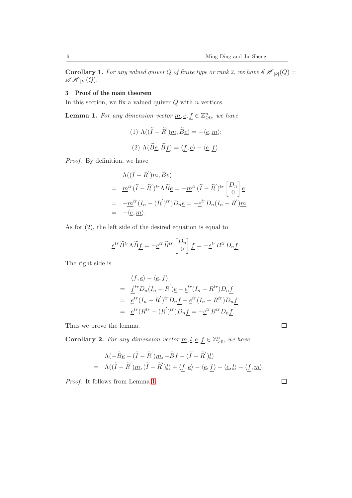<span id="page-5-2"></span>**Corollary 1.** For any valued quiver Q of finite type or rank 2, we have  $\mathscr{E}\mathscr{H}_{|k|}(Q) =$  $\mathscr{AH}_{|k|}(Q).$ 

# 3 Proof of the main theorem

In this section, we fix a valued quiver  $Q$  with  $n$  vertices.

<span id="page-5-0"></span>**Lemma 1.** For any dimension vector <u>m</u>, <u>e</u>,  $\underline{f} \in \mathbb{Z}_{\geq 0}^n$ , we have

(1) 
$$
\Lambda((\widetilde{I} - \widetilde{R}')\underline{m}, \widetilde{B}\underline{e}) = -\langle \underline{e}, \underline{m} \rangle;
$$
  
(2)  $\Lambda(\widetilde{B}\underline{e}, \widetilde{B}\underline{f}) = \langle \underline{f}, \underline{e} \rangle - \langle \underline{e}, \underline{f} \rangle.$ 

Proof. By definition, we have

$$
\Lambda((\widetilde{I} - \widetilde{R}')\underline{m}, \widetilde{B}\underline{e})
$$
\n
$$
= \underline{m}^{tr}(\widetilde{I} - \widetilde{R}')^{tr}\Lambda \widetilde{B}\underline{e} = -\underline{m}^{tr}(\widetilde{I} - \widetilde{R}')^{tr}\begin{bmatrix} D_n \\ 0 \end{bmatrix}\underline{e}
$$
\n
$$
= -\underline{m}^{tr}(I_n - (R')^{tr})D_n\underline{e} = -\underline{e}^{tr}D_n(I_n - R')\underline{m}
$$
\n
$$
= -\langle \underline{e}, \underline{m} \rangle.
$$

As for (2), the left side of the desired equation is equal to

$$
\underline{e}^{tr}\widetilde{B}^{tr}\Lambda\widetilde{B}\underline{f} = -\underline{e}^{tr}\widetilde{B}^{tr}\begin{bmatrix} D_n \\ 0 \end{bmatrix}\underline{f} = -\underline{e}^{tr}B^{tr}D_n\underline{f}.
$$

The right side is

$$
\langle \underline{f}, \underline{e} \rangle - \langle \underline{e}, \underline{f} \rangle
$$
  
=  $\underline{f}^{tr} D_n (I_n - R') \underline{e} - \underline{e}^{tr} (I_n - R^{tr}) D_n \underline{f}$   
=  $\underline{e}^{tr} (I_n - R')^{tr} D_n \underline{f} - \underline{e}^{tr} (I_n - R^{tr}) D_n \underline{f}$   
=  $\underline{e}^{tr} (R^{tr} - (R')^{tr}) D_n \underline{f} = -\underline{e}^{tr} B^{tr} D_n \underline{f}.$ 

Thus we prove the lemma.

<span id="page-5-1"></span>**Corollary 2.** For any dimension vector <u>m,  $l, \underline{e}, \underline{f} \in \mathbb{Z}_{\geq 0}^n$ </u>, we have

$$
\begin{aligned}\n\Lambda(-\widetilde{B}\underline{e}-(\widetilde{I}-\widetilde{R}')\underline{m},-\widetilde{B}\underline{f}-(\widetilde{I}-\widetilde{R}')\underline{l}) \\
= \Lambda((\widetilde{I}-\widetilde{R}')\underline{m},(\widetilde{I}-\widetilde{R}')\underline{l}) + \langle \underline{f},\underline{e} \rangle - \langle \underline{e},\underline{f} \rangle + \langle \underline{e},\underline{l} \rangle - \langle \underline{f},\underline{m} \rangle.\n\end{aligned}
$$

Proof. It follows from Lemma [1.](#page-5-0)

 $\Box$ 

 $\Box$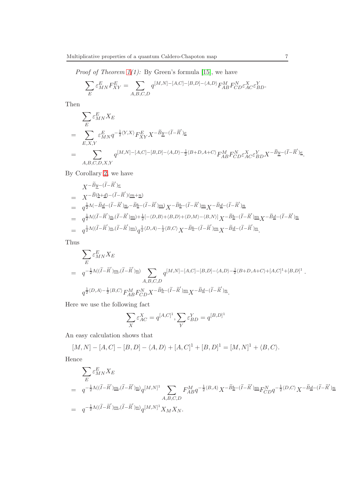*Proof of Theorem*  $1(1)$ *:* By Green's formula [\[15\]](#page-11-3), we have

$$
\sum_E \varepsilon_{MN}^E F_{XY}^E = \sum_{A,B,C,D} q^{[M,N]-[A,C]-[B,D]-\langle A,D\rangle} F_{AB}^M F_{CD}^N \varepsilon_{AC}^X \varepsilon_{BD}^Y.
$$

Then

$$
\sum_{E} \varepsilon_{MN}^{E} X_{E}
$$
\n
$$
= \sum_{E,X,Y} \varepsilon_{MN}^{E} q^{-\frac{1}{2}\langle Y,X\rangle} F_{XY}^{E} X^{-\widetilde{B} \underline{y}-(\widetilde{I}-\widetilde{R}') \underline{e}}
$$
\n
$$
= \sum_{A,B,C,D,X,Y} q^{[M,N]-[A,C]-[B,D]-\langle A,D\rangle-\frac{1}{2}\langle B+D,A+C\rangle} F_{AB}^{M} F_{CD}^{N} \varepsilon_{AC}^{X} \varepsilon_{BD}^{Y} X^{-\widetilde{B} \underline{y}-(\widetilde{I}-\widetilde{R}') \underline{e}}.
$$

By Corollary [2,](#page-5-1) we have

$$
\begin{array}{lcl} &X^{-\widetilde{B}\underline{y}- (\widetilde{I}-\widetilde{R}')\underline{e}}\\ &=& X^{-\widetilde{B}(\underline{b}+\underline{d})-(\widetilde{I}-\widetilde{R}')(\underline{m}+\underline{n})}\\ &=& q^{\frac{1}{2}\Lambda(-\widetilde{B}\underline{d}-(\widetilde{I}-\widetilde{R}')\underline{n},-\widetilde{B}\underline{b}-(\widetilde{I}-\widetilde{R}')\underline{m})}X^{-\widetilde{B}\underline{b}-(\widetilde{I}-\widetilde{R}')\underline{m}}X^{-\widetilde{B}\underline{d}-(\widetilde{I}-\widetilde{R}')\underline{n}}\\ &=& q^{\frac{1}{2}\Lambda((\widetilde{I}-\widetilde{R}')\underline{n},(\widetilde{I}-\widetilde{R}')\underline{m})+\frac{1}{2}[-\langle D,B\rangle+\langle B,D\rangle+\langle D,M\rangle-\langle B,N\rangle]}X^{-\widetilde{B}\underline{d}-(\widetilde{I}-\widetilde{R}')\underline{m}}X^{-\widetilde{B}\underline{d}-(\widetilde{I}-\widetilde{R}')\underline{n}}\\ &=& q^{\frac{1}{2}\Lambda((\widetilde{I}-\widetilde{R}')\underline{n},(\widetilde{I}-\widetilde{R}')\underline{m})}q^{\frac{1}{2}\langle D,A\rangle-\frac{1}{2}\langle B,C\rangle}X^{-\widetilde{B}\underline{b}-(\widetilde{I}-\widetilde{R}')\underline{m}}X^{-\widetilde{B}\underline{d}-(\widetilde{I}-\widetilde{R}')\underline{n}}. \end{array}
$$

Thus

$$
\sum_{E} \varepsilon_{MN}^{E} X_{E}
$$
\n
$$
= q^{-\frac{1}{2}\Lambda((\tilde{I}-\tilde{R}')\underline{m}, (\tilde{I}-\tilde{R}')\underline{n})} \sum_{A,B,C,D} q^{[M,N]-[A,C]-[B,D]-\langle A,D\rangle-\frac{1}{2}\langle B+D,A+C\rangle+[A,C]^1+[B,D]^1}.
$$
\n
$$
q^{\frac{1}{2}\langle D,A\rangle-\frac{1}{2}\langle B,C\rangle} F_{AB}^{M} F_{CD}^{N} X^{-\widetilde{B}\underline{b}-(\tilde{I}-\tilde{R}')\underline{m}} X^{-\widetilde{B}\underline{d}-(\tilde{I}-\tilde{R}')\underline{n}}.
$$

Here we use the following fact

$$
\sum_X \varepsilon^X_{AC} = q^{[A,C]^1}, \sum_Y \varepsilon^Y_{BD} = q^{[B,D]^1}
$$

An easy calculation shows that

$$
[M,N] - [A,C] - [B,D] - \langle A,D \rangle + [A,C]^1 + [B,D]^1 = [M,N]^1 + \langle B,C \rangle.
$$

Hence

$$
\begin{array}{lll} \displaystyle \sum_E \varepsilon^E_{MN}X_E \\[1mm] = & \displaystyle q^{-\frac{1}{2}\Lambda((\widetilde{I}-\widetilde{R}')\underline{m}, (\widetilde{I}-\widetilde{R}')\underline{n})}q^{[M,N]^1} \sum_{A,B,C,D} F^M_{AB}q^{-\frac{1}{2}\langle B,A\rangle}X^{-\widetilde{B}\underline{b}-(\widetilde{I}-\widetilde{R}')\underline{m}}F^N_{CD}q^{-\frac{1}{2}\langle D,C\rangle}X^{-\widetilde{B}\underline{d}-(\widetilde{I}-\widetilde{R}')\underline{n}} \\[1mm] = & \displaystyle q^{-\frac{1}{2}\Lambda((\widetilde{I}-\widetilde{R}')\underline{m}, (\widetilde{I}-\widetilde{R}')\underline{n})}q^{[M,N]^1}X_{M}X_{N}. \end{array}
$$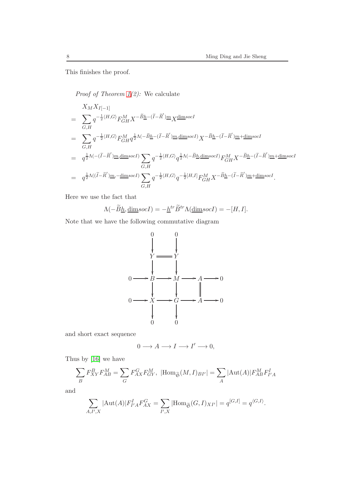This finishes the proof.

*Proof of Theorem*  $1(2)$ *:* We calculate

$$
X_M X_{I[-1]}
$$
\n
$$
= \sum_{G,H} q^{-\frac{1}{2}\langle H,G\rangle} F_{GH}^M X^{-\widetilde{B}\underline{h}-(\widetilde{I}-\widetilde{R}')\underline{m}} X^{\underline{\text{dim}} socI}
$$
\n
$$
= \sum_{G,H} q^{-\frac{1}{2}\langle H,G\rangle} F_{GH}^M q^{\frac{1}{2}\Lambda(-\widetilde{B}\underline{h}-(\widetilde{I}-\widetilde{R}')\underline{m},\underline{\text{dim}} socI} X^{-\widetilde{B}\underline{h}-(\widetilde{I}-\widetilde{R}')\underline{m}+\underline{\text{dim}} socI}
$$
\n
$$
= q^{\frac{1}{2}\Lambda(-( \widetilde{I}-\widetilde{R}')\underline{m},\underline{\text{dim}} socI} \sum_{G,H} q^{-\frac{1}{2}\langle H,G\rangle} q^{\frac{1}{2}\Lambda(-\widetilde{B}\underline{h},\underline{\text{dim}} socI)} F_{GH}^M X^{-\widetilde{B}\underline{h}-(\widetilde{I}-\widetilde{R}')\underline{m}+\underline{\text{dim}} socI}
$$
\n
$$
= q^{\frac{1}{2}\Lambda(( \widetilde{I}-\widetilde{R}')\underline{m},-\underline{\text{dim}} socI)} \sum_{G,H} q^{-\frac{1}{2}\langle H,G\rangle} q^{-\frac{1}{2}[H,I]} F_{GH}^M X^{-\widetilde{B}\underline{h}-(\widetilde{I}-\widetilde{R}')\underline{m}+\underline{\text{dim}} socI}.
$$

Here we use the fact that

$$
\Lambda(-\widetilde{B}\underline{h}, \underline{\dim}\mathrm{soc}I) = -\underline{h}^{tr}\widetilde{B}^{tr}\Lambda(\underline{\dim}\mathrm{soc}I) = -[H, I].
$$

Note that we have the following commutative diagram



and short exact sequence

$$
0\longrightarrow A\longrightarrow I\longrightarrow I'\longrightarrow 0,
$$

Thus by [\[16\]](#page-11-0) we have

$$
\sum_{B} F_{XY}^{B} F_{AB}^{M} = \sum_{G} F_{AX}^{G} F_{GY}^{M}, \ |\text{Hom}_{\widetilde{\mathfrak{S}}}(M, I)_{BI'}| = \sum_{A} |\text{Aut}(A)| F_{AB}^{M} F_{I'A}^{I}
$$

and

$$
\sum_{A,I',X} |\text{Aut}(A)| F_{I'A}^I F_{AX}^G = \sum_{I',X} |\text{Hom}_{\widetilde{\mathfrak{S}}}(G,I)_{XI'}| = q^{[G,I]} = q^{\langle G,I \rangle}.
$$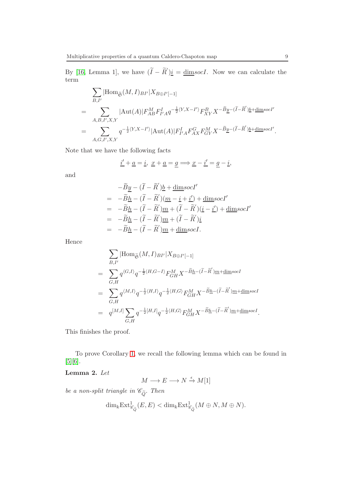By [\[16,](#page-11-0) Lemma 1], we have  $(\tilde{I} - \tilde{R}')i = \underline{\text{dim}} \text{soc}I$ . Now we can calculate the term

$$
\sum_{B,I'} |\text{Hom}_{\widetilde{\mathfrak{S}}}(M,I)_{BI'}|X_{B\oplus I'[-1]}\n= \sum_{A,B,I',X,Y} |\text{Aut}(A)| F_{AB}^M F_{I'A}^I q^{-\frac{1}{2}\langle Y,X-I'\rangle} F_{XY}^B X^{-\widetilde{B} \underline{y}-(\widetilde{I}-\widetilde{R}')\underline{b}+\underline{\text{dim}} s o c I'}\n= \sum_{A,G,I',X,Y} q^{-\frac{1}{2}\langle Y,X-I'\rangle} |\text{Aut}(A)| F_{I'A}^I F_{AX}^G F_{GY}^M X^{-\widetilde{B} \underline{y}-(\widetilde{I}-\widetilde{R}')\underline{b}+\underline{\text{dim}} s o c I'}
$$

Note that we have the following facts

$$
\underline{i'} + \underline{a} = \underline{i}, \ \underline{x} + \underline{a} = \underline{g} \Longrightarrow \underline{x} - \underline{i'} = \underline{g} - \underline{i},
$$

and

$$
-\widetilde{B}\underline{y} - (\widetilde{I} - \widetilde{R}')\underline{b} + \underline{\text{dim}} \text{soc}I'
$$
  
=  $-\widetilde{B}\underline{h} - (\widetilde{I} - \widetilde{R}')(\underline{m} - \underline{i} + \underline{i}') + \underline{\text{dim}} \text{soc}I'$   
=  $-\widetilde{B}\underline{h} - (\widetilde{I} - \widetilde{R}')\underline{m} + (\widetilde{I} - \widetilde{R}')(\underline{i} - \underline{i}') + \underline{\text{dim}} \text{soc}I'$   
=  $-\widetilde{B}\underline{h} - (\widetilde{I} - \widetilde{R}')\underline{m} + (\widetilde{I} - \widetilde{R}')\underline{i}$   
=  $-\widetilde{B}\underline{h} - (\widetilde{I} - \widetilde{R}')\underline{m} + \underline{\text{dim}} \text{soc}I.$ 

Hence

$$
\sum_{B,I'} |\text{Hom}_{\widetilde{\mathfrak{S}}}(M,I)_{BI'}|X_{B\oplus I'[-1]}\n= \sum_{G,H} q^{\langle G,I \rangle} q^{-\frac{1}{2}\langle H,G-I \rangle} F_{GH}^M X^{-\widetilde{B}\underline{h}-(\widetilde{I}-\widetilde{R}')\underline{m}+\underline{\text{dim}} socI}\n= \sum_{G,H} q^{\langle M,I \rangle} q^{-\frac{1}{2}\langle H,I \rangle} q^{-\frac{1}{2}\langle H,G \rangle} F_{GH}^M X^{-\widetilde{B}\underline{h}-(\widetilde{I}-\widetilde{R}')\underline{m}+\underline{\text{dim}} socI}\n= q^{[M,I]} \sum_{G,H} q^{-\frac{1}{2}[H,I]} q^{-\frac{1}{2}\langle H,G \rangle} F_{GH}^M X^{-\widetilde{B}\underline{h}-(\widetilde{I}-\widetilde{R}')\underline{m}+\underline{\text{dim}} socI}.
$$

This finishes the proof.

To prove Corollary [1,](#page-5-2) we recall the following lemma which can be found in [\[5\]](#page-10-3)[\[6\]](#page-10-1).

# <span id="page-8-0"></span>Lemma 2. Let

$$
M \longrightarrow E \longrightarrow N \xrightarrow{\epsilon} M[1]
$$

be a non-split triangle in  $\mathscr{C}_{\tilde{Q}}$ . Then

$$
\dim_k \operatorname{Ext}^1_{\mathscr{C}_{\widetilde{Q}}}(E,E) < \dim_k \operatorname{Ext}^1_{\mathscr{C}_{\widetilde{Q}}}(M \oplus N, M \oplus N).
$$

.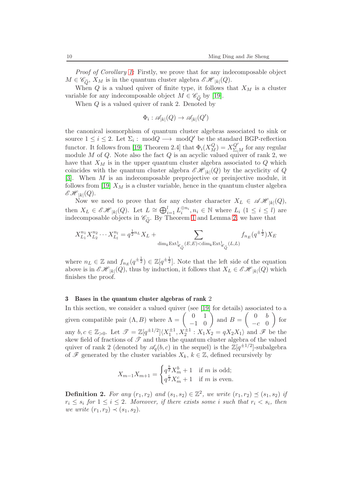Proof of Corollary [1:](#page-5-2) Firstly, we prove that for any indecomposable object  $M \in \mathscr{C}_{\widetilde{Q}}, X_M$  is in the quantum cluster algebra  $\mathscr{CH}_{|k|}(Q)$ .

When  $Q$  is a valued quiver of finite type, it follows that  $X_M$  is a cluster variable for any indecomposable object  $M \in \mathscr{C}_{\tilde{O}}$  by [\[19\]](#page-11-1).

When Q is a valued quiver of rank 2. Denoted by

$$
\Phi_i : \mathscr{A}_{|k|}(Q) \to \mathscr{A}_{|k|}(Q')
$$

the canonical isomorphism of quantum cluster algebras associated to sink or source  $1 \leq i \leq 2$ . Let  $\Sigma_i : \text{mod}Q \longrightarrow \text{mod}Q'$  be the standard BGP-reflection functor. It follows from [\[19,](#page-11-1) Theorem 2.4] that  $\Phi_i(X_M^Q) = X_{\Sigma_i M}^{Q'}$  for any regular module M of Q. Note also the fact  $Q$  is an acyclic valued quiver of rank 2, we have that  $X_M$  is in the upper quantum cluster algebra associated to  $Q$  which coincides with the quantum cluster algebra  $\mathscr{E}\mathscr{H}_{|k|}(Q)$  by the acyclicity of Q [\[3\]](#page-10-6). When M is an indecomposable preprojective or preinjective module, it follows from [\[19\]](#page-11-1)  $X_M$  is a cluster variable, hence in the quantum cluster algebra  $\mathscr{E}\mathscr{H}_{|k|}(Q).$ 

Now we need to prove that for any cluster character  $X_L \in \mathscr{AH}_{|k|}(Q)$ , then  $X_L \in \mathscr{CH}_{|k|}(Q)$ . Let  $L \cong \bigoplus_{i=1}^{l} L_i^{\oplus n_i}, n_i \in \mathbb{N}$  where  $L_i$   $(1 \leq i \leq l)$  are indecomposable objects in  $\mathscr{C}_{\tilde{Q}}$ . By Theorem [1](#page-4-1) and Lemma [2,](#page-8-0) we have that

$$
X_{L_1}^{n_1} X_{L_2}^{n_2} \cdots X_{L_l}^{n_l} = q^{\frac{1}{2}n_L} X_L + \sum_{\dim_k \to x \atop \deg_{\widetilde{Q}}(E,E) < \dim_k \to x \atop \deg_{\widetilde{Q}}(L,L)} f_{n_E}(q^{\pm \frac{1}{2}}) X_E
$$

where  $n_L \in \mathbb{Z}$  and  $f_{n_E}(q^{\pm \frac{1}{2}}) \in \mathbb{Z}[q^{\pm \frac{1}{2}}]$ . Note that the left side of the equation above is in  $\mathscr{E}\mathscr{H}_{|k|}(Q)$ , thus by induction, it follows that  $X_L \in \mathscr{E}\mathscr{H}_{|k|}(Q)$  which finishes the proof.

#### 3 Bases in the quantum cluster algebras of rank 2

In this section, we consider a valued quiver (see [\[19\]](#page-11-1) for details) associated to a given compatible pair  $(\Lambda, B)$  where  $\Lambda = \begin{pmatrix} 0 & 1 \\ -1 & 0 \end{pmatrix}$  and  $B =$  $\begin{pmatrix} 0 & b \end{pmatrix}$  $-c$  0  $\setminus$ for any  $b, c \in \mathbb{Z}_{>0}$ . Let  $\mathscr{T} = \mathbb{Z}[q^{\pm 1/2}]\langle X_1^{\pm 1}, X_2^{\pm 1} : X_1X_2 = qX_2X_1 \rangle$  and  $\mathscr{F}$  be the skew field of fractions of  $\mathscr T$  and thus the quantum cluster algebra of the valued quiver of rank 2 (denoted by  $\mathscr{A}_q(b,c)$  in the sequel) is the  $\mathbb{Z}[q^{\pm 1/2}]$ -subalgebra of  $\mathscr F$  generated by the cluster variables  $X_k, k \in \mathbb Z$ , defined recursively by

$$
X_{m-1}X_{m+1} = \begin{cases} q^{\frac{b}{2}}X_m^b + 1 & \text{if } m \text{ is odd;}\\ q^{\frac{c}{2}}X_m^c + 1 & \text{if } m \text{ is even.} \end{cases}
$$

<span id="page-9-0"></span>**Definition 2.** For any  $(r_1, r_2)$  and  $(s_1, s_2) \in \mathbb{Z}^2$ , we write  $(r_1, r_2) \preceq (s_1, s_2)$  if  $r_i \leq s_i$  for  $1 \leq i \leq 2$ . Moreover, if there exists some i such that  $r_i < s_i$ , then we write  $(r_1, r_2) \prec (s_1, s_2)$ .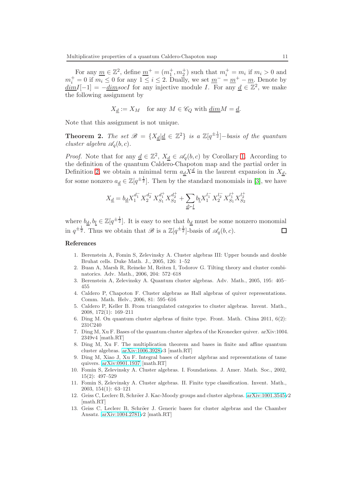For any  $\underline{m} \in \mathbb{Z}^2$ , define  $\underline{m}^+ = (m_1^+, m_2^+)$  such that  $m_i^+ = m_i$  if  $m_i > 0$  and  $m_i^+ = 0$  if  $m_i \leq 0$  for any  $1 \leq i \leq 2$ . Dually, we set  $\underline{m}^- = \underline{m}^+ - \underline{m}$ . Denote by  $\underline{dim}I[-1] = -\underline{dim}socI$  for any injective module I. For any  $\underline{d} \in \mathbb{Z}^2$ , we make the following assignment by

$$
X_{\underline{d}} := X_M \quad \text{for any } M \in \mathscr{C}_Q \text{ with } \underline{dim} M = \underline{d}.
$$

Note that this assignment is not unique.

**Theorem 2.** The set  $\mathscr{B} = \{X_{\underline{d}} | \underline{d} \in \mathbb{Z}^2\}$  is a  $\mathbb{Z}[q^{\pm \frac{1}{2}}]$ -basis of the quantum cluster algebra  $\mathscr{A}_{a}(b, c)$ .

*Proof.* Note that for any  $\underline{d} \in \mathbb{Z}^2$ ,  $X_{\underline{d}} \in \mathcal{A}_q(b, c)$  by Corollary [1.](#page-5-2) According to the definition of the quantum Caldero-Chapoton map and the partial order in Definition [2,](#page-9-0) we obtain a minimal term  $a_{\underline{d}}X^{\underline{d}}$  in the laurent expansion in  $X_{\underline{d}}$ , for some nonzero  $a_{\underline{d}} \in \mathbb{Z}[q^{\pm \frac{1}{2}}]$ . Then by the standard monomials in [\[3\]](#page-10-6), we have

$$
X_{\underline{d}}=b_{\underline{d}}X_1^{d_1^-}X_2^{d_2^-}X_{S_1}^{d_1^+}X_{S_2}^{d_2^+}+\sum_{\underline{d}\succ \underline{l}}b_{\underline{l}}X_1^{l_1^-}X_2^{l_2^-}X_{S_1}^{l_1^+}X_{S_2}^{l_2^+}
$$

where  $b_{\underline{d}}, b_{\underline{l}} \in \mathbb{Z}[q^{\pm \frac{1}{2}}]$ . It is easy to see that  $b_{\underline{d}}$  must be some nonzero monomial in  $q^{\pm \frac{1}{2}}$ . Thus we obtain that  $\mathscr{B}$  is a  $\mathbb{Z}[q^{\pm \frac{1}{2}}]$ -basis of  $\mathscr{A}_q(b, c)$ .  $\Box$ 

## References

- <span id="page-10-8"></span>1. Berenstein A, Fomin S, Zelevinsky A. Cluster algebras III: Upper bounds and double Bruhat cells. Duke Math. J., 2005, 126: 1–52
- <span id="page-10-6"></span>2. Buan A, Marsh R, Reineke M, Reiten I, Todorov G. Tilting theory and cluster combinatorics. Adv. Math., 2006, 204: 572–618
- <span id="page-10-2"></span>3. Berenstein A, Zelevinsky A. Quantum cluster algebras. Adv. Math., 2005, 195: 405– 455
- <span id="page-10-3"></span>4. Caldero P, Chapoton F. Cluster algebras as Hall algebras of quiver representations. Comm. Math. Helv., 2006, 81: 595–616
- <span id="page-10-1"></span>5. Caldero P, Keller B. From triangulated categories to cluster algebras. Invent. Math., 2008, 172(1): 169–211
- <span id="page-10-4"></span>6. Ding M. On quantum cluster algebras of finite type. Front. Math. China 2011, 6(2): 231C240
- <span id="page-10-0"></span>7. Ding M, Xu F. Bases of the quantum cluster algebra of the Kronecker quiver. arXiv:1004. 2349v4 [math.RT]
- <span id="page-10-5"></span>8. Ding M, Xu F. The multiplication theorem and bases in finite and affine quantum cluster algebras. [arXiv:1006.3928v](http://arxiv.org/abs/1006.3928)3 [math.RT]
- <span id="page-10-7"></span>9. Ding M, Xiao J, Xu F. Integral bases of cluster algebras and representations of tame quivers. [arXiv:0901.1937](http://arxiv.org/abs/0901.1937) [math.RT]
- 10. Fomin S, Zelevinsky A. Cluster algebras. I. Foundations. J. Amer. Math. Soc., 2002, 15(2): 497–529
- 11. Fomin S, Zelevinsky A. Cluster algebras. II. Finite type classification. Invent. Math., 2003, 154(1): 63–121
- 12. Geiss C, Leclerc B, Schröer J. Kac-Moody groups and cluster algebras. [arXiv:1001.3545v](http://arxiv.org/abs/1001.3545)2 [math.RT]
- 13. Geiss C, Leclerc B, Schröer J. Generic bases for cluster algebras and the Chamber Ansatz. [arXiv:1004.2781v](http://arxiv.org/abs/1004.2781)2 [math.RT]